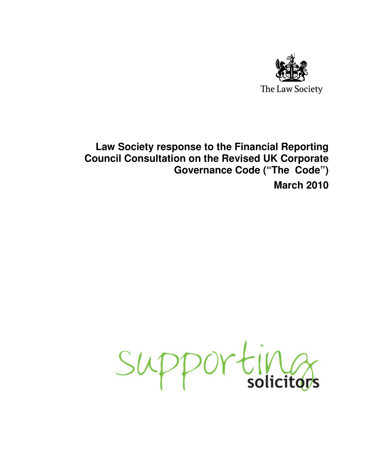

# **Law Society response to the Financial Reporting Council Consultation on the Revised UK Corporate Governance Code ("The Code") March 2010**

Supportings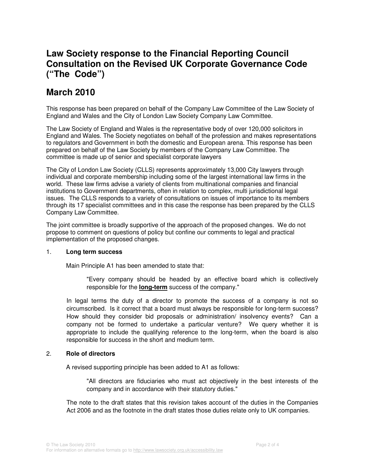# **Law Society response to the Financial Reporting Council Consultation on the Revised UK Corporate Governance Code ("The Code")**

# **March 2010**

This response has been prepared on behalf of the Company Law Committee of the Law Society of England and Wales and the City of London Law Society Company Law Committee.

The Law Society of England and Wales is the representative body of over 120,000 solicitors in England and Wales. The Society negotiates on behalf of the profession and makes representations to regulators and Government in both the domestic and European arena. This response has been prepared on behalf of the Law Society by members of the Company Law Committee. The committee is made up of senior and specialist corporate lawyers

The City of London Law Society (CLLS) represents approximately 13,000 City lawyers through individual and corporate membership including some of the largest international law firms in the world. These law firms advise a variety of clients from multinational companies and financial institutions to Government departments, often in relation to complex, multi jurisdictional legal issues. The CLLS responds to a variety of consultations on issues of importance to its members through its 17 specialist committees and in this case the response has been prepared by the CLLS Company Law Committee.

The joint committee is broadly supportive of the approach of the proposed changes. We do not propose to comment on questions of policy but confine our comments to legal and practical implementation of the proposed changes.

## 1. **Long term success**

Main Principle A1 has been amended to state that:

"Every company should be headed by an effective board which is collectively responsible for the **long-term** success of the company."

In legal terms the duty of a director to promote the success of a company is not so circumscribed. Is it correct that a board must always be responsible for long-term success? How should they consider bid proposals or administration/ insolvency events? Can a company not be formed to undertake a particular venture? We query whether it is appropriate to include the qualifying reference to the long-term, when the board is also responsible for success in the short and medium term.

## 2. **Role of directors**

A revised supporting principle has been added to A1 as follows:

"All directors are fiduciaries who must act objectively in the best interests of the company and in accordance with their statutory duties."

The note to the draft states that this revision takes account of the duties in the Companies Act 2006 and as the footnote in the draft states those duties relate only to UK companies.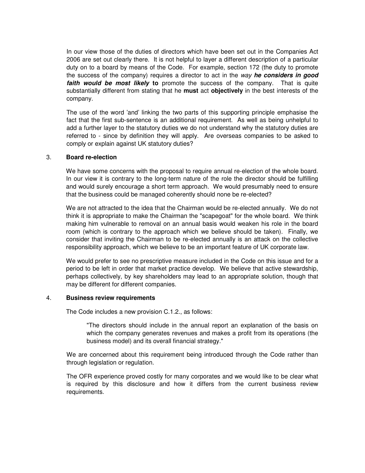In our view those of the duties of directors which have been set out in the Companies Act 2006 are set out clearly there. It is not helpful to layer a different description of a particular duty on to a board by means of the Code. For example, section 172 (the duty to promote the success of the company) requires a director to act in the way **he considers in good faith would be most likely to** promote the success of the company. That is quite substantially different from stating that he **must** act **objectively** in the best interests of the company.

The use of the word 'and' linking the two parts of this supporting principle emphasise the fact that the first sub-sentence is an additional requirement. As well as being unhelpful to add a further layer to the statutory duties we do not understand why the statutory duties are referred to - since by definition they will apply. Are overseas companies to be asked to comply or explain against UK statutory duties?

### 3. **Board re-election**

We have some concerns with the proposal to require annual re-election of the whole board. In our view it is contrary to the long-term nature of the role the director should be fulfilling and would surely encourage a short term approach. We would presumably need to ensure that the business could be managed coherently should none be re-elected?

We are not attracted to the idea that the Chairman would be re-elected annually. We do not think it is appropriate to make the Chairman the "scapegoat" for the whole board. We think making him vulnerable to removal on an annual basis would weaken his role in the board room (which is contrary to the approach which we believe should be taken). Finally, we consider that inviting the Chairman to be re-elected annually is an attack on the collective responsibility approach, which we believe to be an important feature of UK corporate law.

We would prefer to see no prescriptive measure included in the Code on this issue and for a period to be left in order that market practice develop. We believe that active stewardship, perhaps collectively, by key shareholders may lead to an appropriate solution, though that may be different for different companies.

#### 4. **Business review requirements**

The Code includes a new provision C.1.2., as follows:

"The directors should include in the annual report an explanation of the basis on which the company generates revenues and makes a profit from its operations (the business model) and its overall financial strategy."

We are concerned about this requirement being introduced through the Code rather than through legislation or regulation.

The OFR experience proved costly for many corporates and we would like to be clear what is required by this disclosure and how it differs from the current business review requirements.